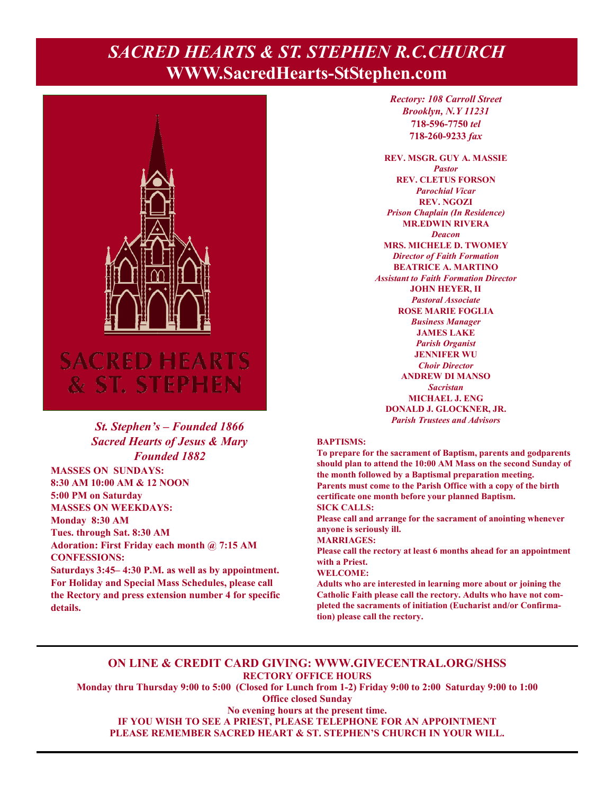# **Page 1, Sunday, June 5, 2022** *SACRED HEARTS & ST. STEPHEN R.C.CHURCH*  **WWW.SacredHearts-StStephen.com**



### *St. Stephen's – Founded 1866 Sacred Hearts of Jesus & Mary Founded 1882*

**MASSES ON SUNDAYS: 8:30 AM 10:00 AM & 12 NOON 5:00 PM on Saturday MASSES ON WEEKDAYS: Monday 8:30 AM Tues. through Sat. 8:30 AM Adoration: First Friday each month @ 7:15 AM CONFESSIONS: Saturdays 3:45– 4:30 P.M. as well as by appointment.** 

**For Holiday and Special Mass Schedules, please call the Rectory and press extension number 4 for specific details.**

*Rectory: 108 Carroll Street Brooklyn, N.Y 11231*  **718-596-7750** *tel* **718-260-9233** *fax*

**REV. MSGR. GUY A. MASSIE**  *Pastor*  **REV. CLETUS FORSON**  *Parochial Vicar*  **REV. NGOZI**  *Prison Chaplain (In Residence)*  **MR.EDWIN RIVERA**  *Deacon*  **MRS. MICHELE D. TWOMEY**  *Director of Faith Formation*  **BEATRICE A. MARTINO**  *Assistant to Faith Formation Director*  **JOHN HEYER, II**  *Pastoral Associate*  **ROSE MARIE FOGLIA**  *Business Manager*  **JAMES LAKE**  *Parish Organist*  **JENNIFER WU**  *Choir Director* **ANDREW DI MANSO**  *Sacristan*  **MICHAEL J. ENG DONALD J. GLOCKNER, JR.**  *Parish Trustees and Advisors* 

### **BAPTISMS:**

**To prepare for the sacrament of Baptism, parents and godparents should plan to attend the 10:00 AM Mass on the second Sunday of the month followed by a Baptismal preparation meeting. Parents must come to the Parish Office with a copy of the birth certificate one month before your planned Baptism. SICK CALLS:** 

**Please call and arrange for the sacrament of anointing whenever anyone is seriously ill.** 

**MARRIAGES:** 

**Please call the rectory at least 6 months ahead for an appointment with a Priest.** 

#### **WELCOME:**

**Adults who are interested in learning more about or joining the Catholic Faith please call the rectory. Adults who have not completed the sacraments of initiation (Eucharist and/or Confirmation) please call the rectory.** 

### **ON LINE & CREDIT CARD GIVING: WWW.GIVECENTRAL.ORG/SHSS RECTORY OFFICE HOURS**

**Monday thru Thursday 9:00 to 5:00 (Closed for Lunch from 1-2) Friday 9:00 to 2:00 Saturday 9:00 to 1:00 Office closed Sunday** 

**No evening hours at the present time. IF YOU WISH TO SEE A PRIEST, PLEASE TELEPHONE FOR AN APPOINTMENT** 

**PLEASE REMEMBER SACRED HEART & ST. STEPHEN'S CHURCH IN YOUR WILL.**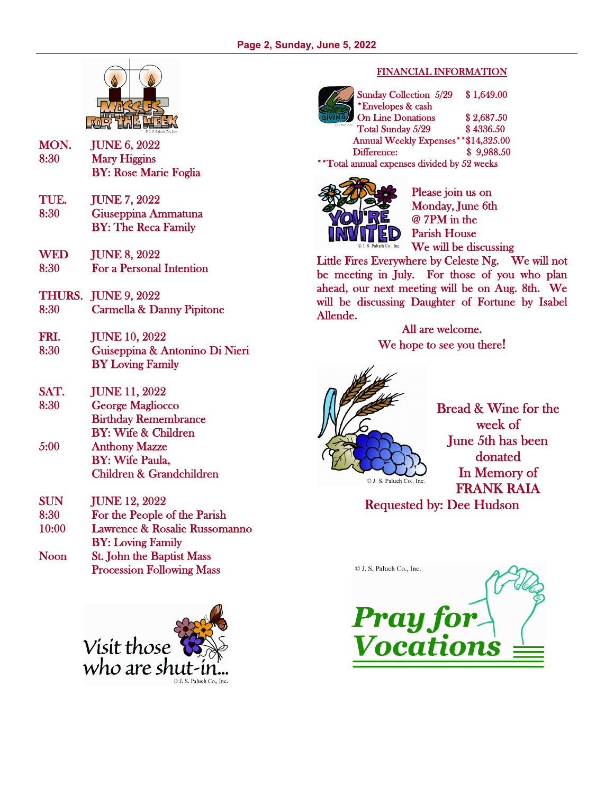

- MON. JUNE 6, 2022 8:30 Mary Higgins BY: Rose Marie Foglia
- TUE. JUNE 7, 2022 8:30 Giuseppina Ammatuna BY: The Reca Family
- WED **JUNE 8, 2022** 8:30 For a Personal Intention
- THURS. JUNE 9, 2022 8:30 Carmella & Danny Pipitone
- FRI. JUNE 10, 2022 8:30 Guiseppina & Antonino Di Nieri BY Loving Family
- SAT. JUNE 11, 2022 8:30 George Magliocco Birthday Remembrance BY: Wife & Children
- 5:00 Anthony Mazze BY: Wife Paula, Children & Grandchildren
- SUN JUNE 12, 2022 8:30 For the People of the Parish 10:00 Lawrence & Rosalie Russomanno
- BY: Loving Family Noon St. John the Baptist Mass
- Procession Following Mass



### FINANCIAL INFORMATION

Sunday Collection 5/29 \$ 1,649.00 \*Envelopes & cash On Line Donations \$2,687.50 Total Sunday 5/29 \$4336.50 Annual Weekly Expenses\*\*\$14,325.00 Difference: \$ 9,988.50 \*\*Total annual expenses divided by 52 weeks



Please join us on Monday, June 6th @ 7PM in the Parish House We will be discussing

Little Fires Everywhere by Celeste Ng. We will not be meeting in July. For those of you who plan ahead, our next meeting will be on Aug. 8th. We will be discussing Daughter of Fortune by Isabel Allende.

> All are welcome. We hope to see you there!



Bread & Wine for the week of June 5th has been donated In Memory of FRANK RAIA

## Requested by: Dee Hudson

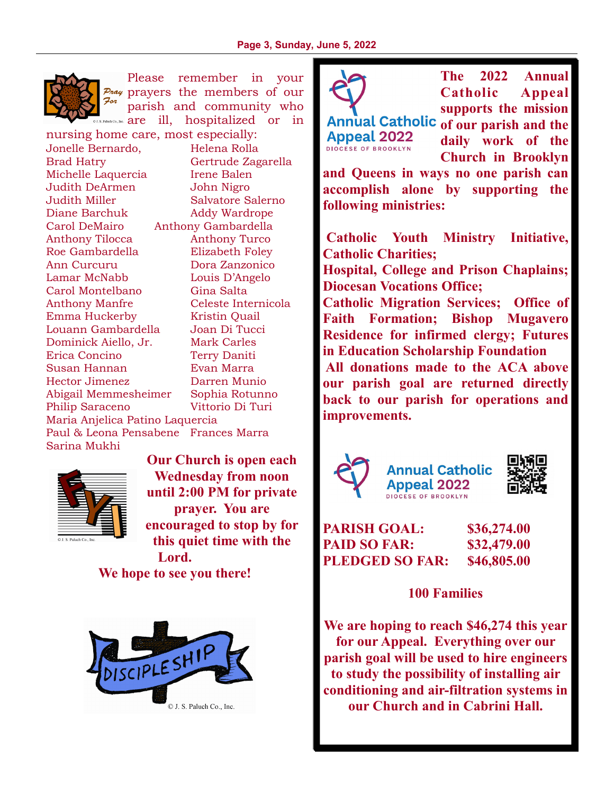

Please remember in your  $P_{\text{max}}$  prayers the members of our For parish and community who  $S$ <sup>RAltak</sup> Co., Inc. **are** ill, hospitalized or in

nursing home care, most especially: Jonelle Bernardo, Helena Rolla Brad Hatry Gertrude Zagarella Michelle Laquercia Irene Balen Judith DeArmen John Nigro Judith Miller Salvatore Salerno Diane Barchuk Addy Wardrope Carol DeMairo Anthony Gambardella Anthony Tilocca Anthony Turco Roe Gambardella Elizabeth Foley Ann Curcuru Dora Zanzonico Lamar McNabb Louis D'Angelo Carol Montelbano Gina Salta Anthony Manfre Celeste Internicola Emma Huckerby Kristin Quail Louann Gambardella Joan Di Tucci Dominick Aiello, Jr. Mark Carles Erica Concino Terry Daniti Susan Hannan Evan Marra Hector Jimenez Darren Munio Abigail Memmesheimer Sophia Rotunno Philip Saraceno Vittorio Di Turi Maria Anjelica Patino Laquercia Paul & Leona Pensabene Frances Marra Sarina Mukhi



**Our Church is open each Wednesday from noon until 2:00 PM for private prayer. You are encouraged to stop by for this quiet time with the Lord.** 

**We hope to see you there!** 





**The 2022 Annual Catholic Appeal supports the mission** 

**Appeal 2022 DIOCESE OF BROOKLYN** 

Annual Catholic of our parish and the **daily work of the Church in Brooklyn** 

**and Queens in ways no one parish can accomplish alone by supporting the following ministries:** 

 **Catholic Youth Ministry Initiative, Catholic Charities;** 

**Hospital, College and Prison Chaplains; Diocesan Vocations Office;** 

**Catholic Migration Services; Office of Faith Formation; Bishop Mugavero Residence for infirmed clergy; Futures in Education Scholarship Foundation** 

 **All donations made to the ACA above our parish goal are returned directly back to our parish for operations and improvements.** 







**PARISH GOAL: \$36,274.00 PAID SO FAR: \$32,479.00 PLEDGED SO FAR: \$46,805.00** 

**100 Families** 

**We are hoping to reach \$46,274 this year for our Appeal. Everything over our parish goal will be used to hire engineers to study the possibility of installing air conditioning and air-filtration systems in our Church and in Cabrini Hall.**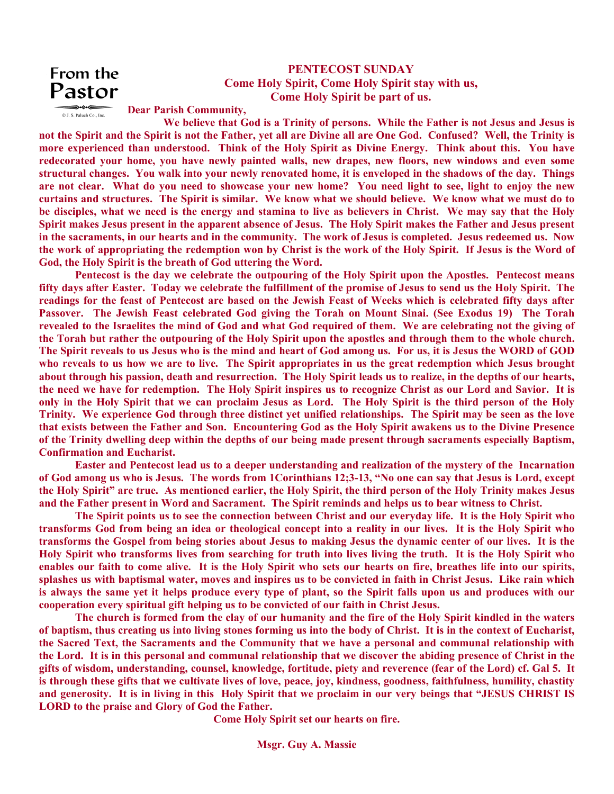## From the Pastor

© J. S. Paluch Co., Inc.

## **PENTECOST SUNDAY Come Holy Spirit, Come Holy Spirit stay with us, Come Holy Spirit be part of us.**

**Dear Parish Community,** 

 **We believe that God is a Trinity of persons. While the Father is not Jesus and Jesus is not the Spirit and the Spirit is not the Father, yet all are Divine all are One God. Confused? Well, the Trinity is more experienced than understood. Think of the Holy Spirit as Divine Energy. Think about this. You have redecorated your home, you have newly painted walls, new drapes, new floors, new windows and even some structural changes. You walk into your newly renovated home, it is enveloped in the shadows of the day. Things are not clear. What do you need to showcase your new home? You need light to see, light to enjoy the new curtains and structures. The Spirit is similar. We know what we should believe. We know what we must do to be disciples, what we need is the energy and stamina to live as believers in Christ. We may say that the Holy Spirit makes Jesus present in the apparent absence of Jesus. The Holy Spirit makes the Father and Jesus present in the sacraments, in our hearts and in the community. The work of Jesus is completed. Jesus redeemed us. Now the work of appropriating the redemption won by Christ is the work of the Holy Spirit. If Jesus is the Word of God, the Holy Spirit is the breath of God uttering the Word.** 

 **Pentecost is the day we celebrate the outpouring of the Holy Spirit upon the Apostles. Pentecost means fifty days after Easter. Today we celebrate the fulfillment of the promise of Jesus to send us the Holy Spirit. The readings for the feast of Pentecost are based on the Jewish Feast of Weeks which is celebrated fifty days after Passover. The Jewish Feast celebrated God giving the Torah on Mount Sinai. (See Exodus 19) The Torah revealed to the Israelites the mind of God and what God required of them. We are celebrating not the giving of the Torah but rather the outpouring of the Holy Spirit upon the apostles and through them to the whole church. The Spirit reveals to us Jesus who is the mind and heart of God among us. For us, it is Jesus the WORD of GOD who reveals to us how we are to live. The Spirit appropriates in us the great redemption which Jesus brought about through his passion, death and resurrection. The Holy Spirit leads us to realize, in the depths of our hearts, the need we have for redemption. The Holy Spirit inspires us to recognize Christ as our Lord and Savior. It is only in the Holy Spirit that we can proclaim Jesus as Lord. The Holy Spirit is the third person of the Holy Trinity. We experience God through three distinct yet unified relationships. The Spirit may be seen as the love that exists between the Father and Son. Encountering God as the Holy Spirit awakens us to the Divine Presence of the Trinity dwelling deep within the depths of our being made present through sacraments especially Baptism, Confirmation and Eucharist.** 

 **Easter and Pentecost lead us to a deeper understanding and realization of the mystery of the Incarnation of God among us who is Jesus. The words from 1Corinthians 12;3-13, "No one can say that Jesus is Lord, except the Holy Spirit" are true. As mentioned earlier, the Holy Spirit, the third person of the Holy Trinity makes Jesus and the Father present in Word and Sacrament. The Spirit reminds and helps us to bear witness to Christ.** 

 **The Spirit points us to see the connection between Christ and our everyday life. It is the Holy Spirit who transforms God from being an idea or theological concept into a reality in our lives. It is the Holy Spirit who transforms the Gospel from being stories about Jesus to making Jesus the dynamic center of our lives. It is the Holy Spirit who transforms lives from searching for truth into lives living the truth. It is the Holy Spirit who enables our faith to come alive. It is the Holy Spirit who sets our hearts on fire, breathes life into our spirits, splashes us with baptismal water, moves and inspires us to be convicted in faith in Christ Jesus. Like rain which is always the same yet it helps produce every type of plant, so the Spirit falls upon us and produces with our cooperation every spiritual gift helping us to be convicted of our faith in Christ Jesus.** 

 **The church is formed from the clay of our humanity and the fire of the Holy Spirit kindled in the waters of baptism, thus creating us into living stones forming us into the body of Christ. It is in the context of Eucharist, the Sacred Text, the Sacraments and the Community that we have a personal and communal relationship with the Lord. It is in this personal and communal relationship that we discover the abiding presence of Christ in the gifts of wisdom, understanding, counsel, knowledge, fortitude, piety and reverence (fear of the Lord) cf. Gal 5. It is through these gifts that we cultivate lives of love, peace, joy, kindness, goodness, faithfulness, humility, chastity and generosity. It is in living in this Holy Spirit that we proclaim in our very beings that "JESUS CHRIST IS LORD to the praise and Glory of God the Father.** 

**Come Holy Spirit set our hearts on fire.** 

**Msgr. Guy A. Massie**